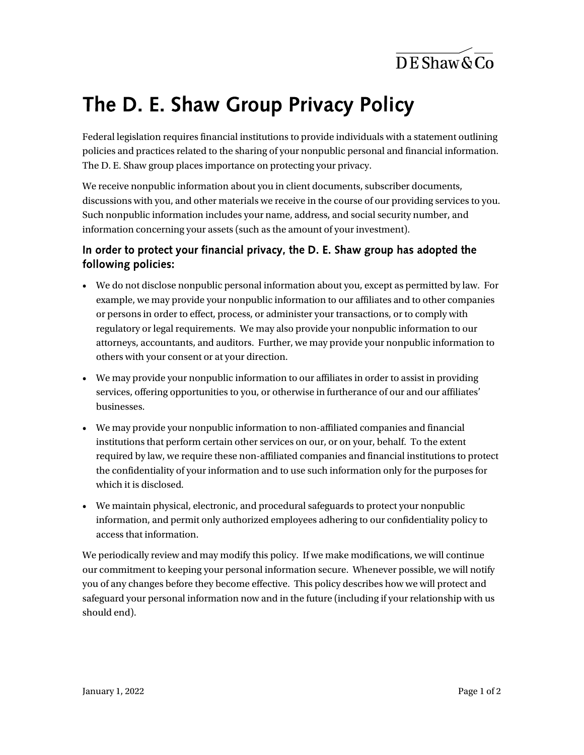$\overline{\text{DE}$ Shaw & Co

## The D. E. Shaw Group Privacy Policy

Federal legislation requires financial institutions to provide individuals with a statement outlining policies and practices related to the sharing of your nonpublic personal and financial information. The D. E. Shaw group places importance on protecting your privacy.

We receive nonpublic information about you in client documents, subscriber documents, discussions with you, and other materials we receive in the course of our providing services to you. Such nonpublic information includes your name, address, and social security number, and information concerning your assets (such as the amount of your investment).

## In order to protect your financial privacy, the D. E. Shaw group has adopted the following policies:

- We do not disclose nonpublic personal information about you, except as permitted by law. For example, we may provide your nonpublic information to our affiliates and to other companies or persons in order to effect, process, or administer your transactions, or to comply with regulatory or legal requirements. We may also provide your nonpublic information to our attorneys, accountants, and auditors. Further, we may provide your nonpublic information to others with your consent or at your direction.
- We may provide your nonpublic information to our affiliates in order to assist in providing services, offering opportunities to you, or otherwise in furtherance of our and our affiliates' businesses.
- We may provide your nonpublic information to non-affiliated companies and financial institutions that perform certain other services on our, or on your, behalf. To the extent required by law, we require these non-affiliated companies and financial institutions to protect the confidentiality of your information and to use such information only for the purposes for which it is disclosed.
- We maintain physical, electronic, and procedural safeguards to protect your nonpublic information, and permit only authorized employees adhering to our confidentiality policy to access that information.

We periodically review and may modify this policy. If we make modifications, we will continue our commitment to keeping your personal information secure. Whenever possible, we will notify you of any changes before they become effective. This policy describes how we will protect and safeguard your personal information now and in the future (including if your relationship with us should end).